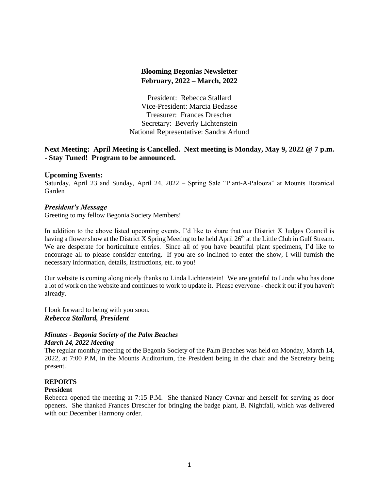# **Blooming Begonias Newsletter February, 2022 – March, 2022**

President: Rebecca Stallard Vice-President: Marcia Bedasse Treasurer: Frances Drescher Secretary: Beverly Lichtenstein National Representative: Sandra Arlund

# **Next Meeting: April Meeting is Cancelled. Next meeting is Monday, May 9, 2022 @ 7 p.m. - Stay Tuned! Program to be announced.**

## **Upcoming Events:**

Saturday, April 23 and Sunday, April 24, 2022 – Spring Sale "Plant-A-Palooza" at Mounts Botanical Garden

## *President's Message*

Greeting to my fellow Begonia Society Members!

In addition to the above listed upcoming events, I'd like to share that our District X Judges Council is having a flower show at the District X Spring Meeting to be held April 26<sup>th</sup> at the Little Club in Gulf Stream. We are desperate for horticulture entries. Since all of you have beautiful plant specimens, I'd like to encourage all to please consider entering. If you are so inclined to enter the show, I will furnish the necessary information, details, instructions, etc. to you!

Our website is coming along nicely thanks to Linda Lichtenstein! We are grateful to Linda who has done a lot of work on the website and continues to work to update it. Please everyone - check it out if you haven't already.

I look forward to being with you soon. *Rebecca Stallard, President*

#### *Minutes - Begonia Society of the Palm Beaches March 14, 2022 Meeting*

The regular monthly meeting of the Begonia Society of the Palm Beaches was held on Monday, March 14, 2022, at 7:00 P.M, in the Mounts Auditorium, the President being in the chair and the Secretary being present.

## **REPORTS**

## **President**

Rebecca opened the meeting at 7:15 P.M. She thanked Nancy Cavnar and herself for serving as door openers. She thanked Frances Drescher for bringing the badge plant, B. Nightfall, which was delivered with our December Harmony order.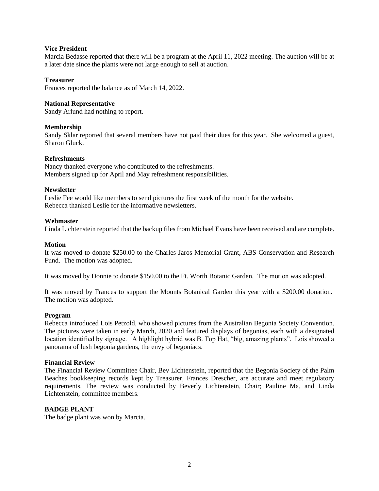#### **Vice President**

Marcia Bedasse reported that there will be a program at the April 11, 2022 meeting. The auction will be at a later date since the plants were not large enough to sell at auction.

#### **Treasurer**

Frances reported the balance as of March 14, 2022.

#### **National Representative**

Sandy Arlund had nothing to report.

#### **Membership**

Sandy Sklar reported that several members have not paid their dues for this year. She welcomed a guest, Sharon Gluck.

#### **Refreshments**

Nancy thanked everyone who contributed to the refreshments. Members signed up for April and May refreshment responsibilities.

#### **Newsletter**

Leslie Fee would like members to send pictures the first week of the month for the website. Rebecca thanked Leslie for the informative newsletters.

#### **Webmaster**

Linda Lichtenstein reported that the backup files from Michael Evans have been received and are complete.

#### **Motion**

It was moved to donate \$250.00 to the Charles Jaros Memorial Grant, ABS Conservation and Research Fund. The motion was adopted.

It was moved by Donnie to donate \$150.00 to the Ft. Worth Botanic Garden. The motion was adopted.

It was moved by Frances to support the Mounts Botanical Garden this year with a \$200.00 donation. The motion was adopted.

#### **Program**

Rebecca introduced Lois Petzold, who showed pictures from the Australian Begonia Society Convention. The pictures were taken in early March, 2020 and featured displays of begonias, each with a designated location identified by signage. A highlight hybrid was B. Top Hat, "big, amazing plants". Lois showed a panorama of lush begonia gardens, the envy of begoniacs.

### **Financial Review**

The Financial Review Committee Chair, Bev Lichtenstein, reported that the Begonia Society of the Palm Beaches bookkeeping records kept by Treasurer, Frances Drescher, are accurate and meet regulatory requirements. The review was conducted by Beverly Lichtenstein, Chair; Pauline Ma, and Linda Lichtenstein, committee members.

#### **BADGE PLANT**

The badge plant was won by Marcia.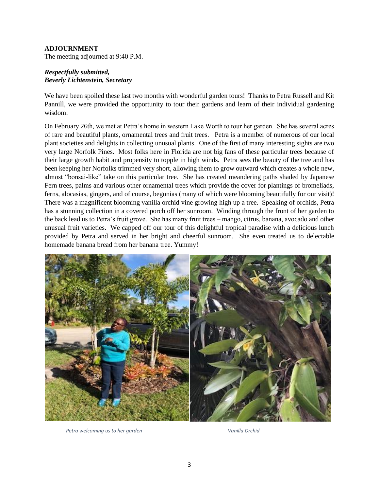## **ADJOURNMENT**

The meeting adjourned at 9:40 P.M.

## *Respectfully submitted, Beverly Lichtenstein, Secretary*

We have been spoiled these last two months with wonderful garden tours! Thanks to Petra Russell and Kit Pannill, we were provided the opportunity to tour their gardens and learn of their individual gardening wisdom.

On February 26th, we met at Petra's home in western Lake Worth to tour her garden. She has several acres of rare and beautiful plants, ornamental trees and fruit trees. Petra is a member of numerous of our local plant societies and delights in collecting unusual plants. One of the first of many interesting sights are two very large Norfolk Pines. Most folks here in Florida are not big fans of these particular trees because of their large growth habit and propensity to topple in high winds. Petra sees the beauty of the tree and has been keeping her Norfolks trimmed very short, allowing them to grow outward which creates a whole new, almost "bonsai-like" take on this particular tree. She has created meandering paths shaded by Japanese Fern trees, palms and various other ornamental trees which provide the cover for plantings of bromeliads, ferns, alocasias, gingers, and of course, begonias (many of which were blooming beautifully for our visit)! There was a magnificent blooming vanilla orchid vine growing high up a tree. Speaking of orchids, Petra has a stunning collection in a covered porch off her sunroom. Winding through the front of her garden to the back lead us to Petra's fruit grove. She has many fruit trees – mango, citrus, banana, avocado and other unusual fruit varieties. We capped off our tour of this delightful tropical paradise with a delicious lunch provided by Petra and served in her bright and cheerful sunroom. She even treated us to delectable homemade banana bread from her banana tree. Yummy!



Petra welcoming us to her garden Vanilla Orchid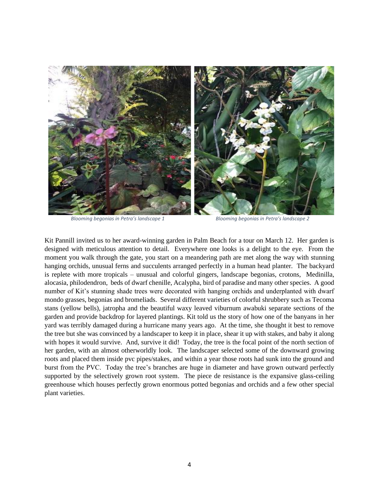

*Blooming begonias in Petra's landscape 1 Blooming begonias in Petra's landscape 2*

Kit Pannill invited us to her award-winning garden in Palm Beach for a tour on March 12. Her garden is designed with meticulous attention to detail. Everywhere one looks is a delight to the eye. From the moment you walk through the gate, you start on a meandering path are met along the way with stunning hanging orchids, unusual ferns and succulents arranged perfectly in a human head planter. The backyard is replete with more tropicals – unusual and colorful gingers, landscape begonias, crotons, Medinilla, alocasia, philodendron, beds of dwarf chenille, Acalypha, bird of paradise and many other species. A good number of Kit's stunning shade trees were decorated with hanging orchids and underplanted with dwarf mondo grasses, begonias and bromeliads. Several different varieties of colorful shrubbery such as Tecoma stans (yellow bells), jatropha and the beautiful waxy leaved viburnum awabuki separate sections of the garden and provide backdrop for layered plantings. Kit told us the story of how one of the banyans in her yard was terribly damaged during a hurricane many years ago. At the time, she thought it best to remove the tree but she was convinced by a landscaper to keep it in place, shear it up with stakes, and baby it along with hopes it would survive. And, survive it did! Today, the tree is the focal point of the north section of her garden, with an almost otherworldly look. The landscaper selected some of the downward growing roots and placed them inside pvc pipes/stakes, and within a year those roots had sunk into the ground and burst from the PVC. Today the tree's branches are huge in diameter and have grown outward perfectly supported by the selectively grown root system. The piece de resistance is the expansive glass-ceiling greenhouse which houses perfectly grown enormous potted begonias and orchids and a few other special plant varieties.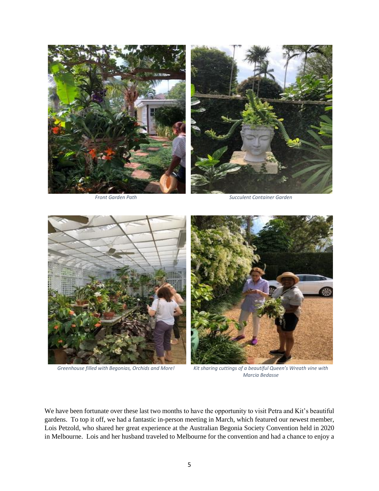





*Front Garden Path Succulent Container Garden*





*Greenhouse filled with Begonias, Orchids and More! Kit sharing cuttings of a beautiful Queen's Wreath vine with Marcia Bedasse*

We have been fortunate over these last two months to have the opportunity to visit Petra and Kit's beautiful gardens. To top it off, we had a fantastic in-person meeting in March, which featured our newest member, Lois Petzold, who shared her great experience at the Australian Begonia Society Convention held in 2020 in Melbourne. Lois and her husband traveled to Melbourne for the convention and had a chance to enjoy a